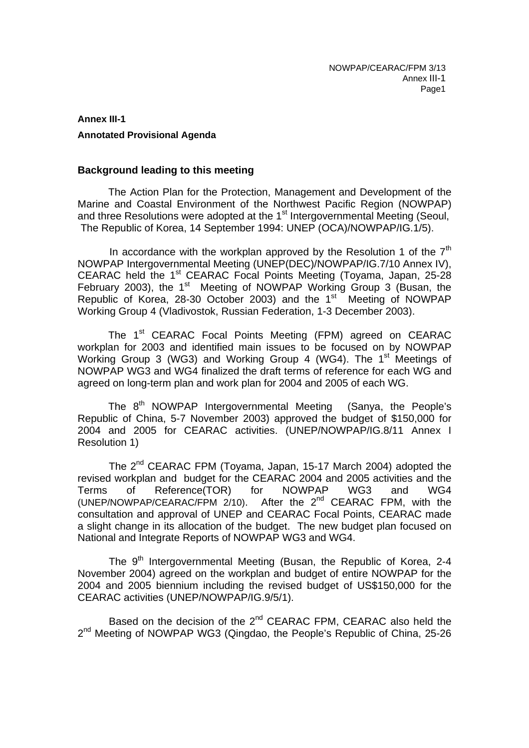# **Annex III-1 Annotated Provisional Agenda**

## **Background leading to this meeting**

The Action Plan for the Protection, Management and Development of the Marine and Coastal Environment of the Northwest Pacific Region (NOWPAP) and three Resolutions were adopted at the 1<sup>st</sup> Intergovernmental Meeting (Seoul, The Republic of Korea, 14 September 1994: UNEP (OCA)/NOWPAP/IG.1/5).

In accordance with the workplan approved by the Resolution 1 of the  $7<sup>th</sup>$ NOWPAP Intergovernmental Meeting (UNEP(DEC)/NOWPAP/IG.7/10 Annex IV), CEARAC held the 1<sup>st</sup> CEARAC Focal Points Meeting (Toyama, Japan, 25-28 February 2003), the  $1<sup>st</sup>$  Meeting of NOWPAP Working Group 3 (Busan, the Republic of Korea, 28-30 October 2003) and the 1<sup>st Meeting of NOWPAP</sup> Working Group 4 (Vladivostok, Russian Federation, 1-3 December 2003).

The 1<sup>st</sup> CEARAC Focal Points Meeting (FPM) agreed on CEARAC workplan for 2003 and identified main issues to be focused on by NOWPAP Working Group 3 (WG3) and Working Group 4 (WG4). The  $1<sup>st</sup>$  Meetings of NOWPAP WG3 and WG4 finalized the draft terms of reference for each WG and agreed on long-term plan and work plan for 2004 and 2005 of each WG.

The  $8<sup>th</sup>$  NOWPAP Intergovernmental Meeting (Sanya, the People's Republic of China, 5-7 November 2003) approved the budget of \$150,000 for 2004 and 2005 for CEARAC activities. (UNEP/NOWPAP/IG.8/11 Annex I Resolution 1)

The 2<sup>nd</sup> CEARAC FPM (Toyama, Japan, 15-17 March 2004) adopted the revised workplan and budget for the CEARAC 2004 and 2005 activities and the Terms of Reference(TOR) for NOWPAP WG3 and WG4 (UNEP/NOWPAP/CEARAC/FPM  $2/10$ ). After the  $2<sup>nd</sup>$  CEARAC FPM, with the consultation and approval of UNEP and CEARAC Focal Points, CEARAC made a slight change in its allocation of the budget. The new budget plan focused on National and Integrate Reports of NOWPAP WG3 and WG4.

The 9<sup>th</sup> Intergovernmental Meeting (Busan, the Republic of Korea, 2-4 November 2004) agreed on the workplan and budget of entire NOWPAP for the 2004 and 2005 biennium including the revised budget of US\$150,000 for the CEARAC activities (UNEP/NOWPAP/IG.9/5/1).

Based on the decision of the 2<sup>nd</sup> CEARAC FPM, CEARAC also held the 2<sup>nd</sup> Meeting of NOWPAP WG3 (Qingdao, the People's Republic of China, 25-26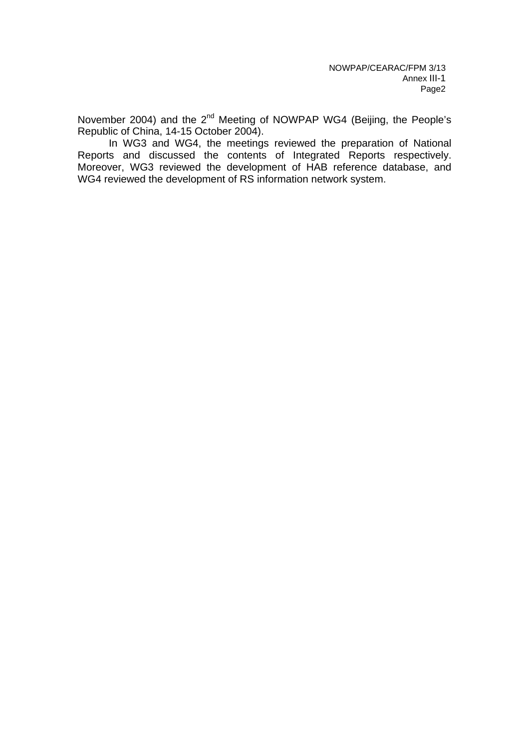November 2004) and the 2<sup>nd</sup> Meeting of NOWPAP WG4 (Beijing, the People's Republic of China, 14-15 October 2004).

In WG3 and WG4, the meetings reviewed the preparation of National Reports and discussed the contents of Integrated Reports respectively. Moreover, WG3 reviewed the development of HAB reference database, and WG4 reviewed the development of RS information network system.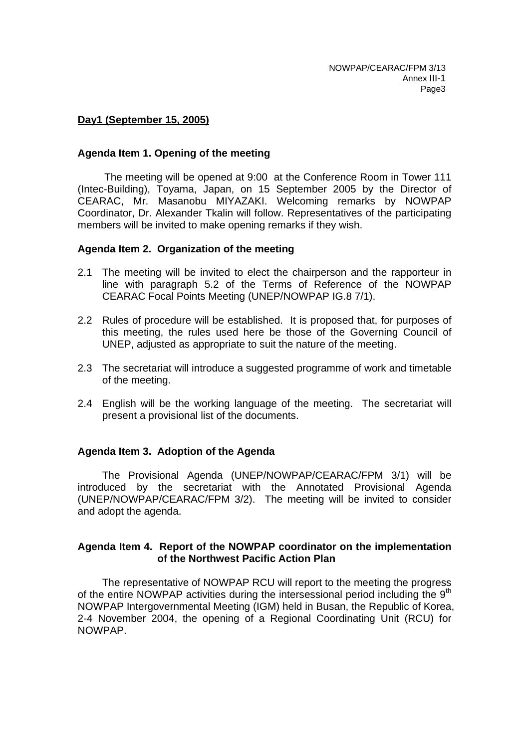## **Day1 (September 15, 2005)**

### **Agenda Item 1. Opening of the meeting**

The meeting will be opened at 9:00 at the Conference Room in Tower 111 (Intec-Building), Toyama, Japan, on 15 September 2005 by the Director of CEARAC, Mr. Masanobu MIYAZAKI. Welcoming remarks by NOWPAP Coordinator, Dr. Alexander Tkalin will follow. Representatives of the participating members will be invited to make opening remarks if they wish.

## **Agenda Item 2. Organization of the meeting**

- 2.1 The meeting will be invited to elect the chairperson and the rapporteur in line with paragraph 5.2 of the Terms of Reference of the NOWPAP CEARAC Focal Points Meeting (UNEP/NOWPAP IG.8 7/1).
- 2.2 Rules of procedure will be established. It is proposed that, for purposes of this meeting, the rules used here be those of the Governing Council of UNEP, adjusted as appropriate to suit the nature of the meeting.
- 2.3 The secretariat will introduce a suggested programme of work and timetable of the meeting.
- 2.4 English will be the working language of the meeting. The secretariat will present a provisional list of the documents.

## **Agenda Item 3. Adoption of the Agenda**

The Provisional Agenda (UNEP/NOWPAP/CEARAC/FPM 3/1) will be introduced by the secretariat with the Annotated Provisional Agenda (UNEP/NOWPAP/CEARAC/FPM 3/2). The meeting will be invited to consider and adopt the agenda.

## **Agenda Item 4. Report of the NOWPAP coordinator on the implementation of the Northwest Pacific Action Plan**

The representative of NOWPAP RCU will report to the meeting the progress of the entire NOWPAP activities during the intersessional period including the 9<sup>th</sup> NOWPAP Intergovernmental Meeting (IGM) held in Busan, the Republic of Korea, 2-4 November 2004, the opening of a Regional Coordinating Unit (RCU) for NOWPAP.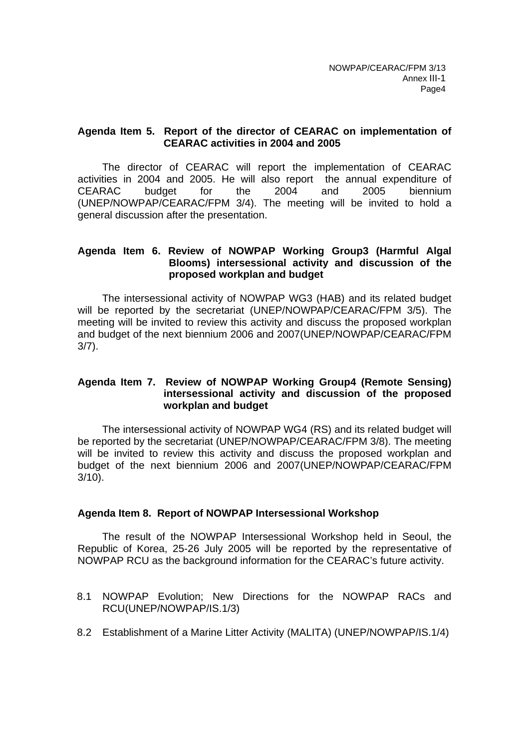## **Agenda Item 5. Report of the director of CEARAC on implementation of CEARAC activities in 2004 and 2005**

The director of CEARAC will report the implementation of CEARAC activities in 2004 and 2005. He will also report the annual expenditure of CEARAC budget for the 2004 and 2005 biennium (UNEP/NOWPAP/CEARAC/FPM 3/4). The meeting will be invited to hold a general discussion after the presentation.

## **Agenda Item 6. Review of NOWPAP Working Group3 (Harmful Algal Blooms) intersessional activity and discussion of the proposed workplan and budget**

The intersessional activity of NOWPAP WG3 (HAB) and its related budget will be reported by the secretariat (UNEP/NOWPAP/CEARAC/FPM 3/5). The meeting will be invited to review this activity and discuss the proposed workplan and budget of the next biennium 2006 and 2007(UNEP/NOWPAP/CEARAC/FPM 3/7).

## **Agenda Item 7. Review of NOWPAP Working Group4 (Remote Sensing) intersessional activity and discussion of the proposed workplan and budget**

The intersessional activity of NOWPAP WG4 (RS) and its related budget will be reported by the secretariat (UNEP/NOWPAP/CEARAC/FPM 3/8). The meeting will be invited to review this activity and discuss the proposed workplan and budget of the next biennium 2006 and 2007(UNEP/NOWPAP/CEARAC/FPM 3/10).

## **Agenda Item 8. Report of NOWPAP Intersessional Workshop**

The result of the NOWPAP Intersessional Workshop held in Seoul, the Republic of Korea, 25-26 July 2005 will be reported by the representative of NOWPAP RCU as the background information for the CEARAC's future activity.

- 8.1 NOWPAP Evolution; New Directions for the NOWPAP RACs and RCU(UNEP/NOWPAP/IS.1/3)
- 8.2 Establishment of a Marine Litter Activity (MALITA) (UNEP/NOWPAP/IS.1/4)